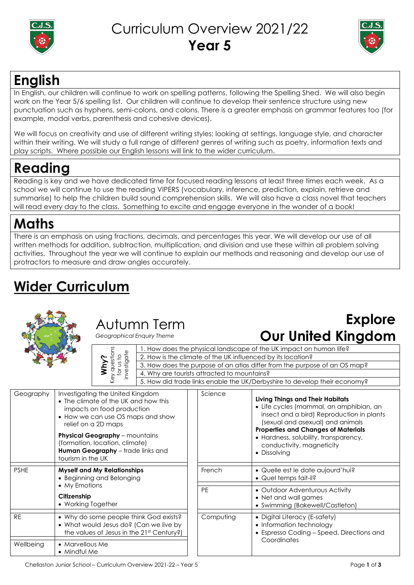

#### Curriculum Overview 2021/22 **Year 5**



### **English**

In English, our children will continue to work on spelling patterns, following the Spelling Shed. We will also begin work on the Year 5/6 spelling list. Our children will continue to develop their sentence structure using new punctuation such as hyphens, semi-colons, and colons. There is a greater emphasis on grammar features too (for example, modal verbs, parenthesis and cohesive devices).

We will focus on creativity and use of different writing styles; looking at settings, language style, and character within their writing. We will study a full range of different genres of writing such as poetry, information texts and play scripts. Where possible our English lessons will link to the wider curriculum.

# **Reading**

Reading is key and we have dedicated time for focused reading lessons at least three times each week. As a school we will continue to use the reading VIPERS (vocabulary, inference, prediction, explain, retrieve and summarise) to help the children build sound comprehension skills. We will also have a class novel that teachers will read every day to the class. Something to excite and engage everyone in the wonder of a book!

## **Maths**

There is an emphasis on using fractions, decimals, and percentages this year. We will develop our use of all written methods for addition, subtraction, multiplication, and division and use these within all problem solving activities. Throughout the year we will continue to explain our methods and reasoning and develop our use of protractors to measure and draw angles accurately.

# **Wider Curriculum**



#### Autumn Term

*Geographical Enquiry Theme*

| questions | Js1 | vestingte<br>Ξ |
|-----------|-----|----------------|
|           |     |                |

#### **Explore Our United Kingdom**

|                          | 1. How does the physical landscape of the UK impact on human life?        |  |  |  |  |  |
|--------------------------|---------------------------------------------------------------------------|--|--|--|--|--|
|                          | 2. How is the climate of the UK influenced by its location?               |  |  |  |  |  |
| for us to<br>investigate | 3. How does the purpose of an atlas differ from the purpose of an OS map? |  |  |  |  |  |
|                          | 4. Why are tourists attracted to mountains?                               |  |  |  |  |  |
|                          | 5. How did trade links enable the UK/Derbyshire to develop their economy? |  |  |  |  |  |
|                          |                                                                           |  |  |  |  |  |
|                          | nitad Kinadom<br>Scianca                                                  |  |  |  |  |  |

| Geography                                          | Investigating the United Kingdom<br>• The climate of the UK and how this<br>impacts on food production<br>• How we can use OS maps and show<br>relief on a 2D maps<br><b>Physical Geography</b> - mountains<br>(formation, location, climate)<br>Human Geography - trade links and<br>tourism in the UK | Science   | Living Things a<br>• Life cycles (r<br>insect and c<br>(sexual and<br><b>Properties and</b><br>• Hardness, so<br>conductivity<br>• Dissolving |
|----------------------------------------------------|---------------------------------------------------------------------------------------------------------------------------------------------------------------------------------------------------------------------------------------------------------------------------------------------------------|-----------|-----------------------------------------------------------------------------------------------------------------------------------------------|
| <b>PSHE</b>                                        | <b>Myself and My Relationships</b><br>• Beginning and Belonging                                                                                                                                                                                                                                         | French    | $\bullet$ Quelle est le<br>• Quel temps                                                                                                       |
| • My Emotions<br>Citizenship<br>• Working Together |                                                                                                                                                                                                                                                                                                         | <b>PE</b> | • Outdoor Ad<br>$\bullet$ Net and wal<br>• Swimming (E                                                                                        |
| <b>RE</b>                                          | • Why do some people think God exists?<br>• What would Jesus do? (Can we live by<br>the values of Jesus in the 21st Century?)                                                                                                                                                                           | Computing | · Digital Litera<br>• Information<br>$\bullet$ Espresso Coo                                                                                   |
| Wellbeing                                          | • Marvellous Me<br>• Mindful Me                                                                                                                                                                                                                                                                         |           | Coordinates                                                                                                                                   |

| 001100    | Living Things and Their Habitats<br>• Life cycles (mammal, an amphibian, an<br>insect and a bird) Reproduction in plants<br>(sexual and asexual) and animals<br><b>Properties and Changes of Materials</b><br>• Hardness, solubility, transparency,<br>conductivity, magneticity<br>• Dissolving |  |
|-----------|--------------------------------------------------------------------------------------------------------------------------------------------------------------------------------------------------------------------------------------------------------------------------------------------------|--|
| French    | • Quelle est le date aujourd'hui?<br>$\bullet$ Quel temps fait-il?                                                                                                                                                                                                                               |  |
| РE        | • Outdoor Adventurous Activity<br>• Net and wall games<br>• Swimming (Bakewell/Castleton)                                                                                                                                                                                                        |  |
| Computing | • Digital Literacy (E-safety)<br>• Information technology<br>• Espresso Coding – Speed, Directions and<br>Coordinates                                                                                                                                                                            |  |